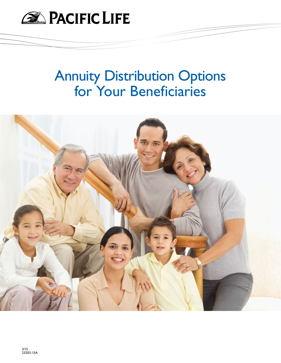

# Annuity Distribution Options for Your Beneficiaries

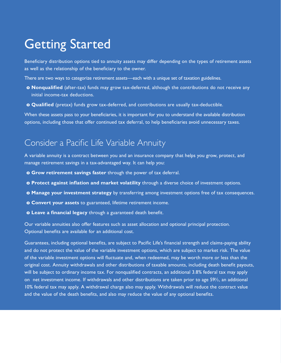### Getting Started

Beneficiary distribution options tied to annuity assets may differ depending on the types of retirement assets as well as the relationship of the beneficiary to the owner.

There are two ways to categorize retirement assets—each with a unique set of taxation guidelines.

- **o Nonqualified** (after-tax) funds may grow tax-deferred, although the contributions do not receive any initial income-tax deductions.
- **o Qualified** (pretax) funds grow tax-deferred, and contributions are usually tax-deductible.

When these assets pass to your beneficiaries, it is important for you to understand the available distribution options, including those that offer continued tax deferral, to help beneficiaries avoid unnecessary taxes.

### Consider a Pacific Life Variable Annuity

A variable annuity is a contract between you and an insurance company that helps you grow, protect, and manage retirement savings in a tax-advantaged way. It can help you:

- **o Grow retirement savings faster** through the power of tax deferral.
- **o Protect against inflation and market volatility** through a diverse choice of investment options.
- **o Manage your investment strategy** by transferring among investment options free of tax consequences.
- **o Convert your assets** to guaranteed, lifetime retirement income.
- **o Leave a financial legacy** through a guaranteed death benefit.

Our variable annuities also offer features such as asset allocation and optional principal protection. Optional benefits are available for an additional cost.

Guarantees, including optional benefits, are subject to Pacific Life's financial strength and claims-paying ability and do not protect the value of the variable investment options, which are subject to market risk. The value of the variable investment options will fluctuate and, when redeemed, may be worth more or less than the original cost. Annuity withdrawals and other distributions of taxable amounts, including death benefit payouts, will be subject to ordinary income tax. For nonqualified contracts, an additional 3.8% federal tax may apply on net investment income. If withdrawals and other distributions are taken prior to age 591/2, an additional 10% federal tax may apply. A withdrawal charge also may apply. Withdrawals will reduce the contract value and the value of the death benefits, and also may reduce the value of any optional benefits.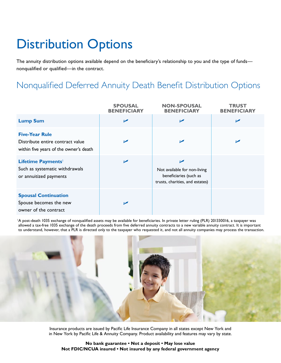# Distribution Options

The annuity distribution options available depend on the beneficiary's relationship to you and the type of funds nonqualified or qualified—in the contract.

### Nonqualified Deferred Annuity Death Benefit Distribution Options

|                                                                                                     | <b>SPOUSAL</b><br><b>BENEFICIARY</b> | <b>NON-SPOUSAL</b><br><b>BENEFICIARY</b>                                                          | <b>TRUST</b><br><b>BENEFICIARY</b> |
|-----------------------------------------------------------------------------------------------------|--------------------------------------|---------------------------------------------------------------------------------------------------|------------------------------------|
| <b>Lump Sum</b>                                                                                     | $\sqrt{ }$                           | $\blacktriangleright$                                                                             | $\blacktriangleright$              |
| <b>Five-Year Rule</b><br>Distribute entire contract value<br>within five years of the owner's death | $\overline{\phantom{a}}$             | $\blacktriangleright$                                                                             | $\blacktriangleright$              |
| Lifetime Payments <sup>1</sup><br>Such as systematic withdrawals<br>or annuitized payments          | $\blacktriangleright$                | ممرا<br>Not available for non-living<br>beneficiaries (such as<br>trusts, charities, and estates) |                                    |
| <b>Spousal Continuation</b><br>Spouse becomes the new<br>owner of the contract                      | ✔                                    |                                                                                                   |                                    |

<sup>1</sup>A post-death 1035 exchange of nonqualified assets may be available for beneficiaries. In private letter ruling (PLR) 201330016, a taxpayer was allowed a tax-free 1035 exchange of the death proceeds from five deferred annuity contracts to a new variable annuity contract. It is important to understand, however, that a PLR is directed only to the taxpayer who requested it, and not all annuity companies may process the transaction.



Insurance products are issued by Pacific Life Insurance Company in all states except New York and in New York by Pacific Life & Annuity Company. Product availability and features may vary by state.

**No bank guarantee • Not a deposit • May lose value Not FDIC/NCUA insured • Not insured by any federal government agency**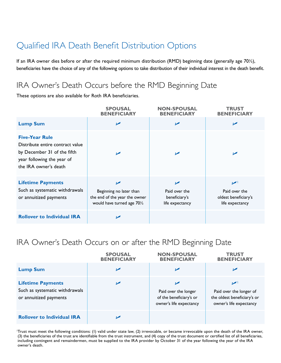### Qualified IRA Death Benefit Distribution Options

If an IRA owner dies before or after the required minimum distribution (RMD) beginning date (generally age 70½), beneficiaries have the choice of any of the following options to take distribution of their individual interest in the death benefit.

#### IRA Owner's Death Occurs before the RMD Beginning Date

These options are also available for Roth IRA beneficiaries.

|                                                                                                                                                 | <b>SPOUSAL</b><br><b>BENEFICIARY</b>                                                                             | <b>NON-SPOUSAL</b><br><b>BENEFICIARY</b>                 | <b>TRUST</b><br><b>BENEFICIARY</b>                                       |
|-------------------------------------------------------------------------------------------------------------------------------------------------|------------------------------------------------------------------------------------------------------------------|----------------------------------------------------------|--------------------------------------------------------------------------|
| <b>Lump Sum</b>                                                                                                                                 | $\blacktriangleright$                                                                                            | ✔                                                        | مما                                                                      |
| <b>Five-Year Rule</b><br>Distribute entire contract value<br>by December 31 of the fifth<br>year following the year of<br>the IRA owner's death | $\overline{\phantom{a}}$                                                                                         | ↙                                                        | ↙                                                                        |
| <b>Lifetime Payments</b><br>Such as systematic withdrawals<br>or annuitized payments                                                            | $\blacktriangleright$<br>Beginning no later than<br>the end of the year the owner<br>would have turned age 701/2 | مما<br>Paid over the<br>beneficiary's<br>life expectancy | $\mathbf{V}$<br>Paid over the<br>oldest beneficiary's<br>life expectancy |
| <b>Rollover to Individual IRA</b>                                                                                                               | ممرا                                                                                                             |                                                          |                                                                          |

#### IRA Owner's Death Occurs on or after the RMD Beginning Date

|                                                                                      | <b>SPOUSAL</b><br><b>BENEFICIARY</b> | <b>NON-SPOUSAL</b><br><b>BENEFICIARY</b>                                   | <b>TRUST</b><br><b>BENEFICIARY</b>                                                                |
|--------------------------------------------------------------------------------------|--------------------------------------|----------------------------------------------------------------------------|---------------------------------------------------------------------------------------------------|
| <b>Lump Sum</b>                                                                      | ↙                                    | ↙                                                                          | ⋗                                                                                                 |
| <b>Lifetime Payments</b><br>Such as systematic withdrawals<br>or annuitized payments | ✔                                    | Paid over the longer<br>of the beneficiary's or<br>owner's life expectancy | $\mathbf{V}$<br>Paid over the longer of<br>the oldest beneficiary's or<br>owner's life expectancy |
| <b>Rollover to Individual IRA</b>                                                    |                                      |                                                                            |                                                                                                   |

1 Trust must meet the following conditions: (1) valid under state law, (2) irrevocable, or became irrevocable upon the death of the IRA owner, (3) the beneficiaries of the trust are identifiable from the trust instrument, and (4) copy of the trust document or certified list of all beneficiaries, including contingent and remaindermen, must be supplied to the IRA provider by October 31 of the year following the year of the IRA owner's death.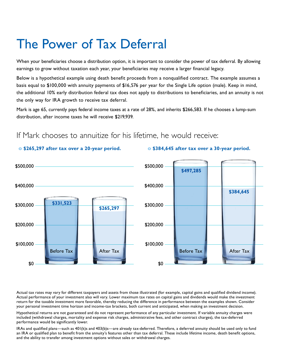## The Power of Tax Deferral

When your beneficiaries choose a distribution option, it is important to consider the power of tax deferral. By allowing earnings to grow without taxation each year, your beneficiaries may receive a larger financial legacy.

Below is a hypothetical example using death benefit proceeds from a nonqualified contract. The example assumes a basis equal to \$100,000 with annuity payments of \$16,576 per year for the Single Life option (male). Keep in mind, the additional 10% early distribution federal tax does not apply to distributions to beneficiaries, and an annuity is not the only way for IRA growth to receive tax deferral.

Mark is age 65, currently pays federal income taxes at a rate of 28%, and inherits \$266,583. If he chooses a lump-sum distribution, after income taxes he will receive \$219,939.

**o \$265,297 after tax over a 20-year period. o \$384,645 after tax over a 30-year period.**

#### \$500,000 \$400,000 \$300,000 \$200,000 \$100,000 \$0 \$500,000 \$400,000 \$300,000 \$200,000 \$100,000 \$0 **\$497,285 \$384,645 \$331,523** Before Tax **After Tax After Tax After Tax Before Tax** Before Tax After Tax **\$265,297**

#### If Mark chooses to annuitize for his lifetime, he would receive:

Actual tax rates may vary for different taxpayers and assets from those illustrated (for example, capital gains and qualified dividend income). Actual performance of your investment also will vary. Lower maximum tax rates on capital gains and dividends would make the investment return for the taxable investment more favorable, thereby reducing the difference in performance between the examples shown. Consider your personal investment time horizon and income-tax brackets, both current and anticipated, when making an investment decision.

Hypothetical returns are not guaranteed and do not represent performance of any particular investment. If variable annuity charges were included (withdrawal charges, mortality and expense risk charges, administrative fees, and other contract charges), the tax-deferred performance would be significantly lower.

IRAs and qualified plans—such as 401(k)s and 403(b)s—are already tax-deferred. Therefore, a deferred annuity should be used only to fund an IRA or qualified plan to benefit from the annuity's features other than tax deferral. These include lifetime income, death benefit options, and the ability to transfer among investment options without sales or withdrawal charges.